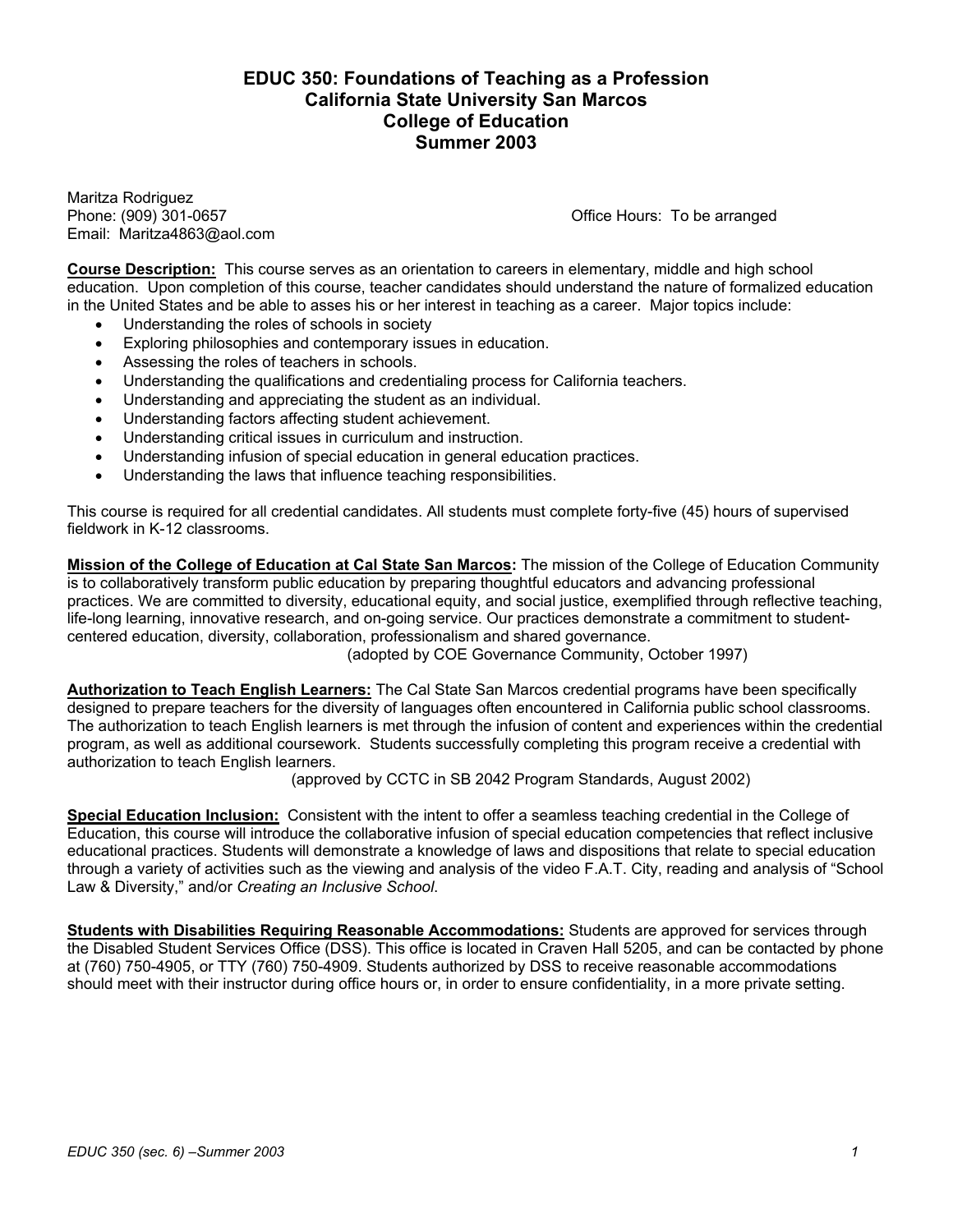## **EDUC 350: Foundations of Teaching as a Profession California State University San Marcos College of Education Summer 2003**

Maritza Rodriguez Phone: (909) 301-0657 Channel Communication Communication Communication Communication Communication Communication Communication Communication Communication Communication Communication Communication Communication Communicat Email: Maritza4863@aol.com

**Course Description:** This course serves as an orientation to careers in elementary, middle and high school education. Upon completion of this course, teacher candidates should understand the nature of formalized education in the United States and be able to asses his or her interest in teaching as a career. Major topics include:

- Understanding the roles of schools in society
- Exploring philosophies and contemporary issues in education.
- Assessing the roles of teachers in schools.
- Understanding the qualifications and credentialing process for California teachers.
- Understanding and appreciating the student as an individual.
- Understanding factors affecting student achievement.
- Understanding critical issues in curriculum and instruction.
- Understanding infusion of special education in general education practices.
- Understanding the laws that influence teaching responsibilities.

This course is required for all credential candidates. All students must complete forty-five (45) hours of supervised fieldwork in K-12 classrooms.

**Mission of the College of Education at Cal State San Marcos:** The mission of the College of Education Community is to collaboratively transform public education by preparing thoughtful educators and advancing professional practices. We are committed to diversity, educational equity, and social justice, exemplified through reflective teaching, life-long learning, innovative research, and on-going service. Our practices demonstrate a commitment to studentcentered education, diversity, collaboration, professionalism and shared governance.

(adopted by COE Governance Community, October 1997)

**Authorization to Teach English Learners:** The Cal State San Marcos credential programs have been specifically designed to prepare teachers for the diversity of languages often encountered in California public school classrooms. The authorization to teach English learners is met through the infusion of content and experiences within the credential program, as well as additional coursework. Students successfully completing this program receive a credential with authorization to teach English learners.

(approved by CCTC in SB 2042 Program Standards, August 2002)

**Special Education Inclusion:** Consistent with the intent to offer a seamless teaching credential in the College of Education, this course will introduce the collaborative infusion of special education competencies that reflect inclusive educational practices. Students will demonstrate a knowledge of laws and dispositions that relate to special education through a variety of activities such as the viewing and analysis of the video F.A.T. City, reading and analysis of "School Law & Diversity," and/or *Creating an Inclusive School*.

**Students with Disabilities Requiring Reasonable Accommodations:** Students are approved for services through the Disabled Student Services Office (DSS). This office is located in Craven Hall 5205, and can be contacted by phone at (760) 750-4905, or TTY (760) 750-4909. Students authorized by DSS to receive reasonable accommodations should meet with their instructor during office hours or, in order to ensure confidentiality, in a more private setting.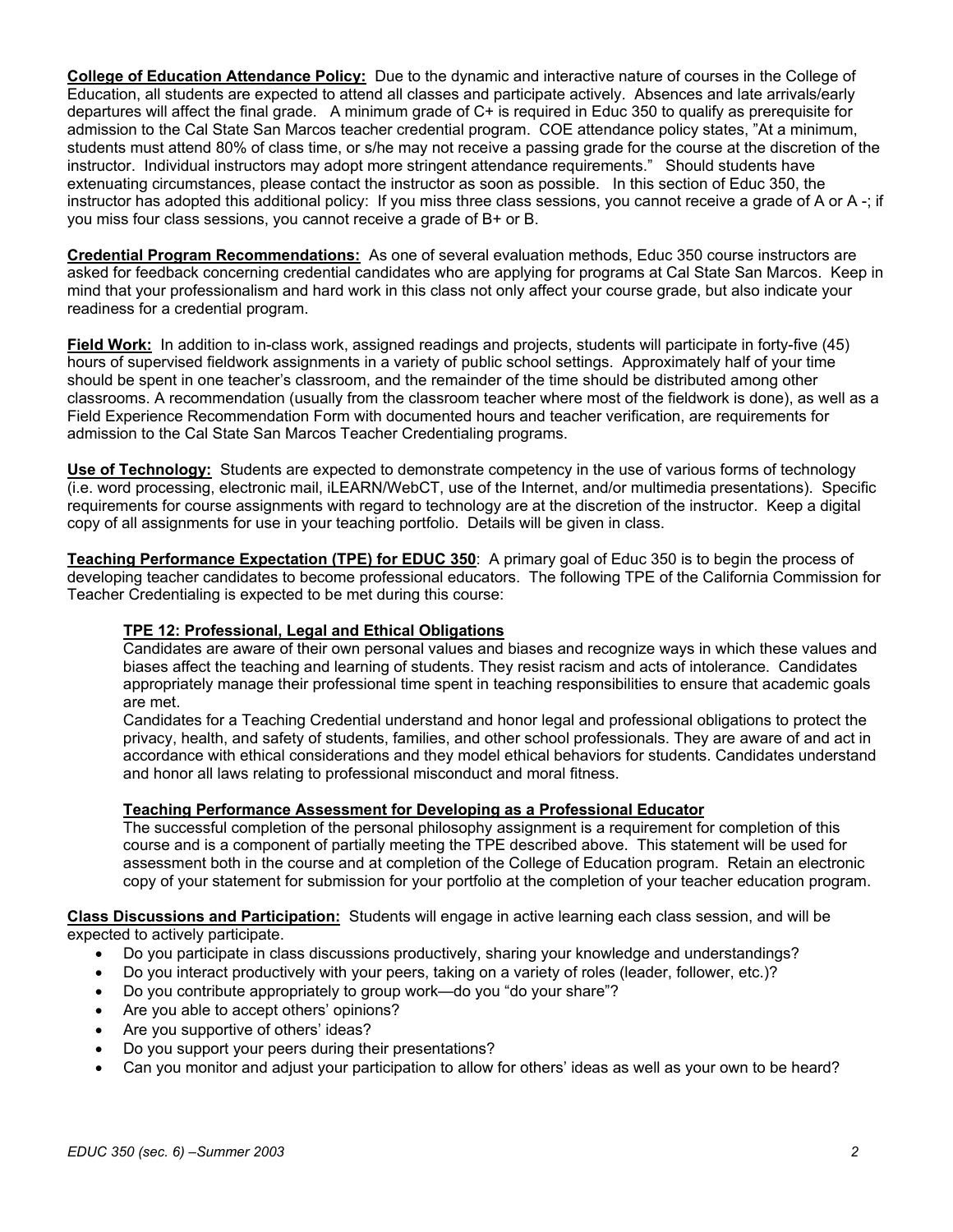**College of Education Attendance Policy:** Due to the dynamic and interactive nature of courses in the College of Education, all students are expected to attend all classes and participate actively. Absences and late arrivals/early departures will affect the final grade. A minimum grade of C+ is required in Educ 350 to qualify as prerequisite for admission to the Cal State San Marcos teacher credential program. COE attendance policy states, "At a minimum, students must attend 80% of class time, or s/he may not receive a passing grade for the course at the discretion of the instructor. Individual instructors may adopt more stringent attendance requirements." Should students have extenuating circumstances, please contact the instructor as soon as possible. In this section of Educ 350, the instructor has adopted this additional policy: If you miss three class sessions, you cannot receive a grade of A or A -; if you miss four class sessions, you cannot receive a grade of B+ or B.

**Credential Program Recommendations:** As one of several evaluation methods, Educ 350 course instructors are asked for feedback concerning credential candidates who are applying for programs at Cal State San Marcos. Keep in mind that your professionalism and hard work in this class not only affect your course grade, but also indicate your readiness for a credential program.

**Field Work:** In addition to in-class work, assigned readings and projects, students will participate in forty-five (45) hours of supervised fieldwork assignments in a variety of public school settings. Approximately half of your time should be spent in one teacher's classroom, and the remainder of the time should be distributed among other classrooms. A recommendation (usually from the classroom teacher where most of the fieldwork is done), as well as a Field Experience Recommendation Form with documented hours and teacher verification, are requirements for admission to the Cal State San Marcos Teacher Credentialing programs.

**Use of Technology:** Students are expected to demonstrate competency in the use of various forms of technology (i.e. word processing, electronic mail, iLEARN/WebCT, use of the Internet, and/or multimedia presentations). Specific requirements for course assignments with regard to technology are at the discretion of the instructor. Keep a digital copy of all assignments for use in your teaching portfolio. Details will be given in class.

**Teaching Performance Expectation (TPE) for EDUC 350**: A primary goal of Educ 350 is to begin the process of developing teacher candidates to become professional educators. The following TPE of the California Commission for Teacher Credentialing is expected to be met during this course:

#### **TPE 12: Professional, Legal and Ethical Obligations**

Candidates are aware of their own personal values and biases and recognize ways in which these values and biases affect the teaching and learning of students. They resist racism and acts of intolerance. Candidates appropriately manage their professional time spent in teaching responsibilities to ensure that academic goals are met.

Candidates for a Teaching Credential understand and honor legal and professional obligations to protect the privacy, health, and safety of students, families, and other school professionals. They are aware of and act in accordance with ethical considerations and they model ethical behaviors for students. Candidates understand and honor all laws relating to professional misconduct and moral fitness.

#### **Teaching Performance Assessment for Developing as a Professional Educator**

The successful completion of the personal philosophy assignment is a requirement for completion of this course and is a component of partially meeting the TPE described above. This statement will be used for assessment both in the course and at completion of the College of Education program. Retain an electronic copy of your statement for submission for your portfolio at the completion of your teacher education program.

**Class Discussions and Participation:** Students will engage in active learning each class session, and will be expected to actively participate.

- Do you participate in class discussions productively, sharing your knowledge and understandings?
- Do you interact productively with your peers, taking on a variety of roles (leader, follower, etc.)?
- Do you contribute appropriately to group work—do you "do your share"?
- Are you able to accept others' opinions?
- Are you supportive of others' ideas?
- Do you support your peers during their presentations?
- Can you monitor and adjust your participation to allow for others' ideas as well as your own to be heard?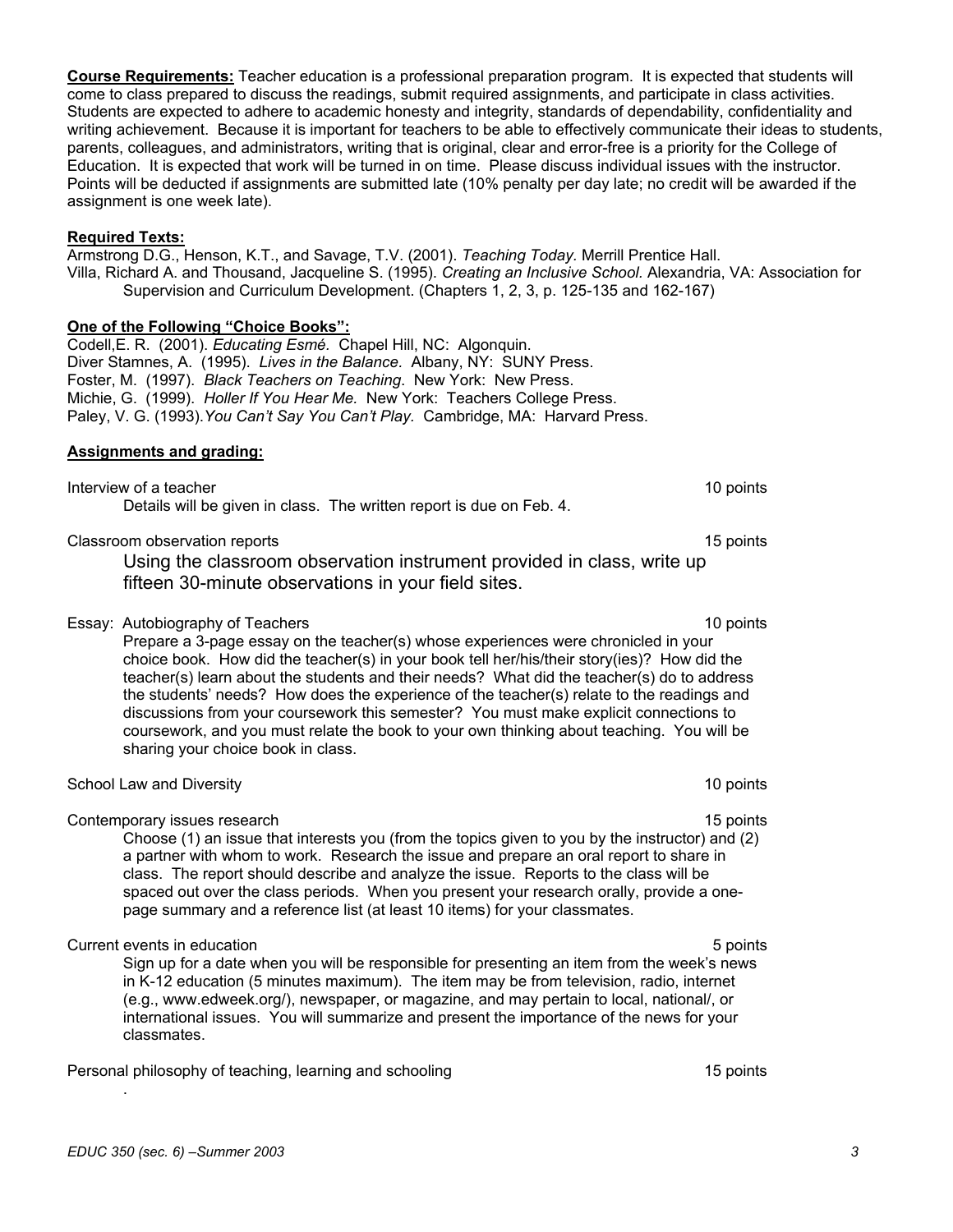.

**Course Requirements:** Teacher education is a professional preparation program. It is expected that students will come to class prepared to discuss the readings, submit required assignments, and participate in class activities. Students are expected to adhere to academic honesty and integrity, standards of dependability, confidentiality and writing achievement. Because it is important for teachers to be able to effectively communicate their ideas to students, parents, colleagues, and administrators, writing that is original, clear and error-free is a priority for the College of Education. It is expected that work will be turned in on time. Please discuss individual issues with the instructor. Points will be deducted if assignments are submitted late (10% penalty per day late; no credit will be awarded if the assignment is one week late).

#### **Required Texts:**

Armstrong D.G., Henson, K.T., and Savage, T.V. (2001). *Teaching Today.* Merrill Prentice Hall. Villa, Richard A. and Thousand, Jacqueline S. (1995). *Creating an Inclusive School.* Alexandria, VA: Association for Supervision and Curriculum Development. (Chapters 1, 2, 3, p. 125-135 and 162-167)

#### **One of the Following "Choice Books":**

Codell,E. R. (2001). *Educating Esmé.* Chapel Hill, NC: Algonquin. Diver Stamnes, A. (1995). *Lives in the Balance.* Albany, NY: SUNY Press. Foster, M. (1997). *Black Teachers on Teaching*. New York: New Press. Michie, G. (1999). *Holler If You Hear Me.* New York: Teachers College Press. Paley, V. G. (1993).*You Can't Say You Can't Play.* Cambridge, MA: Harvard Press.

#### **Assignments and grading:**

Interview of a teacher 10 points and the set of a teacher 10 points of a teacher 10 points of a teacher 10 points of a teacher 10 points of a teacher 10 points of a teacher 10 points of a teacher 10 points of a teacher 10 Details will be given in class. The written report is due on Feb. 4.

Classroom observation reports 15 points 15 points 15 points 15 points 15 points 15 points 15 points 15 points 15 points 15 points 15 points 15 points 15 points 15 points 15 points 15 points 15 points 15 points 15 points 15

Using the classroom observation instrument provided in class, write up fifteen 30-minute observations in your field sites.

#### Essay: Autobiography of Teachers 10 points 10 points 10 points

Prepare a 3-page essay on the teacher(s) whose experiences were chronicled in your choice book. How did the teacher(s) in your book tell her/his/their story(ies)? How did the teacher(s) learn about the students and their needs? What did the teacher(s) do to address the students' needs? How does the experience of the teacher(s) relate to the readings and discussions from your coursework this semester? You must make explicit connections to coursework, and you must relate the book to your own thinking about teaching. You will be sharing your choice book in class.

School Law and Diversity 10 points 10 points 10 points 10 points 10 points 10 points 10 points 10 points 10 points 10 points 10 points 10 points 10 points 10 points 10 points 10 points 10 points 10 points 10 points 10 poin

Contemporary issues research 15 points and the contemporary issues research 15 points and 15 points of the contemporary issues research 15 points and 15 points of the contemporary issues research 15 points and 15 points of

Choose (1) an issue that interests you (from the topics given to you by the instructor) and (2) a partner with whom to work. Research the issue and prepare an oral report to share in class. The report should describe and analyze the issue. Reports to the class will be spaced out over the class periods. When you present your research orally, provide a onepage summary and a reference list (at least 10 items) for your classmates.

Current events in education **5** points **5** points **5** points

Sign up for a date when you will be responsible for presenting an item from the week's news in K-12 education (5 minutes maximum). The item may be from television, radio, internet (e.g., www.edweek.org/), newspaper, or magazine, and may pertain to local, national/, or international issues. You will summarize and present the importance of the news for your classmates.

Personal philosophy of teaching, learning and schooling 15 points 15 points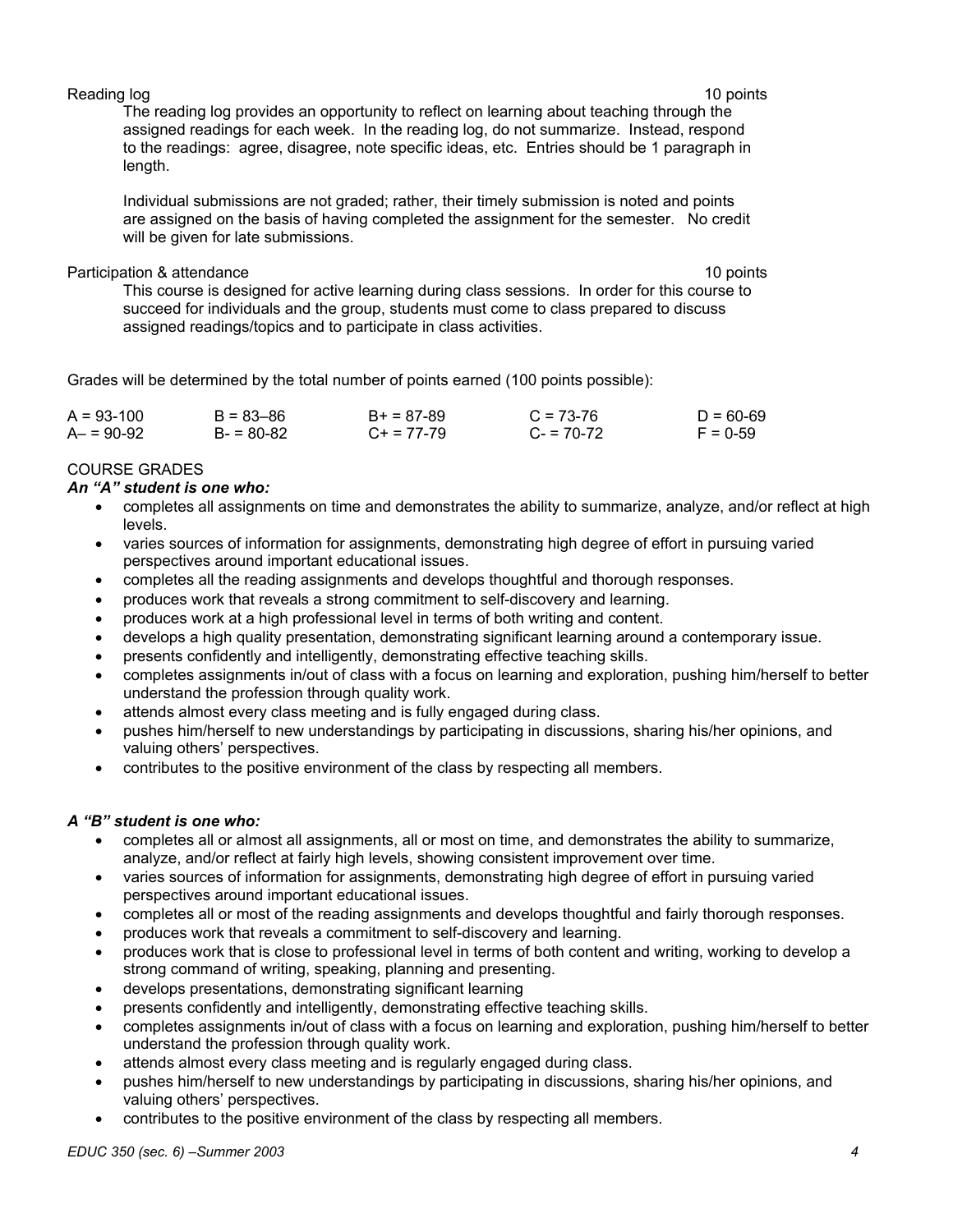#### Reading log 10 points and the state of the state of the state of the state of the state of the state of the state of the state of the state of the state of the state of the state of the state of the state of the state of t

The reading log provides an opportunity to reflect on learning about teaching through the assigned readings for each week. In the reading log, do not summarize. Instead, respond to the readings: agree, disagree, note specific ideas, etc. Entries should be 1 paragraph in length.

Individual submissions are not graded; rather, their timely submission is noted and points are assigned on the basis of having completed the assignment for the semester. No credit will be given for late submissions.

#### Participation & attendance 10 points and the set of the set of the set of the set of the set of the set of the set of the set of the set of the set of the set of the set of the set of the set of the set of the set of the s

This course is designed for active learning during class sessions. In order for this course to succeed for individuals and the group, students must come to class prepared to discuss assigned readings/topics and to participate in class activities.

Grades will be determined by the total number of points earned (100 points possible):

| $A = 93-100$  | $B = 83 - 86$ | $B+ = 87-89$    | $C = 73-76$ | $D = 60-69$ |
|---------------|---------------|-----------------|-------------|-------------|
| $A - 90 - 92$ | $B = 80-82$   | $C_{+}$ = 77-79 | $C = 70-72$ | $F = 0.59$  |

#### COURSE GRADES

#### *An "A" student is one who:*

- completes all assignments on time and demonstrates the ability to summarize, analyze, and/or reflect at high levels.
- varies sources of information for assignments, demonstrating high degree of effort in pursuing varied perspectives around important educational issues.
- completes all the reading assignments and develops thoughtful and thorough responses.
- produces work that reveals a strong commitment to self-discovery and learning.
- produces work at a high professional level in terms of both writing and content.
- develops a high quality presentation, demonstrating significant learning around a contemporary issue.
- presents confidently and intelligently, demonstrating effective teaching skills.
- completes assignments in/out of class with a focus on learning and exploration, pushing him/herself to better understand the profession through quality work.
- attends almost every class meeting and is fully engaged during class.
- pushes him/herself to new understandings by participating in discussions, sharing his/her opinions, and valuing others' perspectives.
- contributes to the positive environment of the class by respecting all members.

#### *A "B" student is one who:*

- completes all or almost all assignments, all or most on time, and demonstrates the ability to summarize, analyze, and/or reflect at fairly high levels, showing consistent improvement over time.
- varies sources of information for assignments, demonstrating high degree of effort in pursuing varied perspectives around important educational issues.
- completes all or most of the reading assignments and develops thoughtful and fairly thorough responses.
- produces work that reveals a commitment to self-discovery and learning.
- produces work that is close to professional level in terms of both content and writing, working to develop a strong command of writing, speaking, planning and presenting.
- develops presentations, demonstrating significant learning
- presents confidently and intelligently, demonstrating effective teaching skills.
- completes assignments in/out of class with a focus on learning and exploration, pushing him/herself to better understand the profession through quality work.
- attends almost every class meeting and is regularly engaged during class.
- pushes him/herself to new understandings by participating in discussions, sharing his/her opinions, and valuing others' perspectives.
- contributes to the positive environment of the class by respecting all members.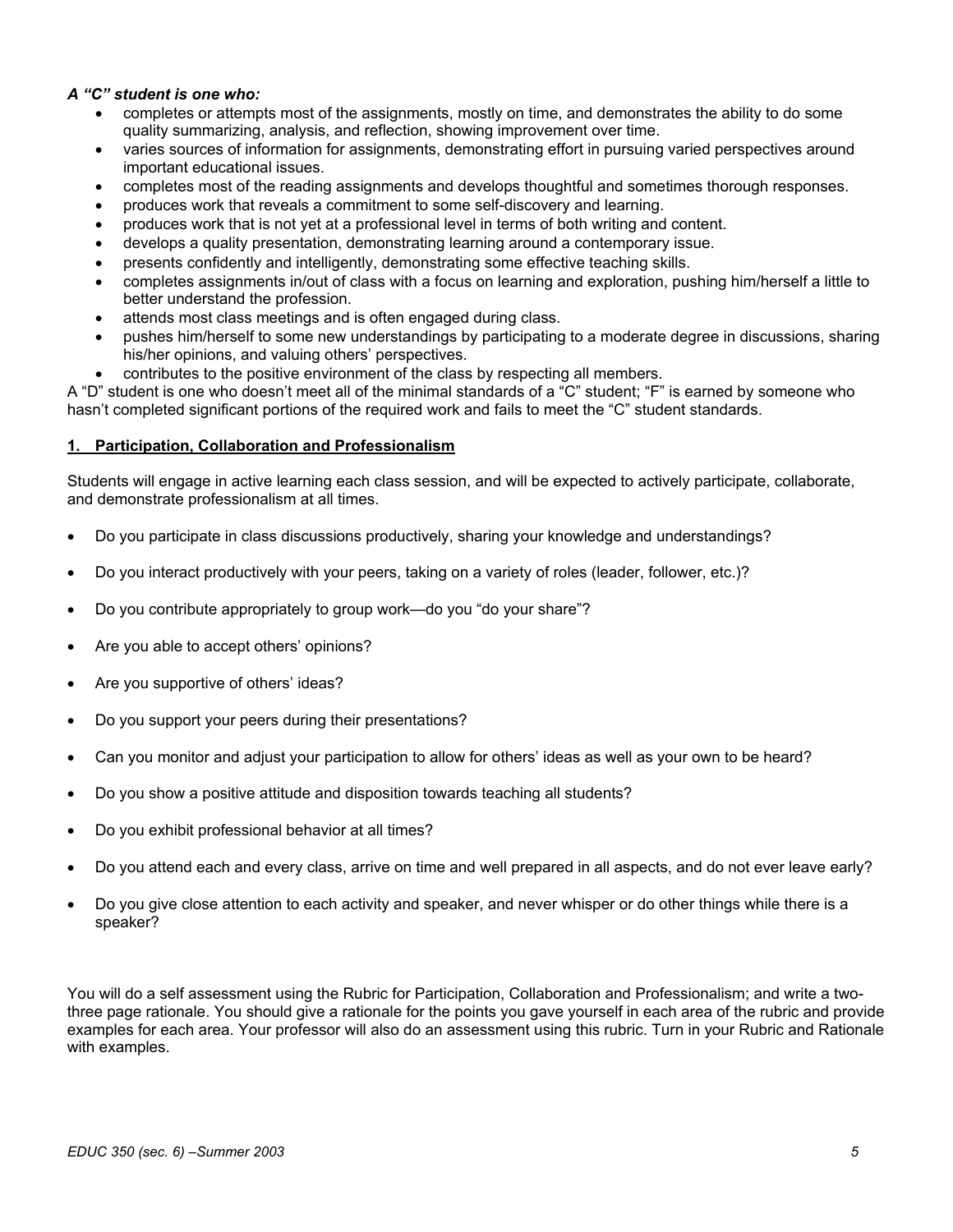#### *A "C" student is one who:*

- completes or attempts most of the assignments, mostly on time, and demonstrates the ability to do some quality summarizing, analysis, and reflection, showing improvement over time.
- varies sources of information for assignments, demonstrating effort in pursuing varied perspectives around important educational issues.
- completes most of the reading assignments and develops thoughtful and sometimes thorough responses.
- produces work that reveals a commitment to some self-discovery and learning.
- produces work that is not yet at a professional level in terms of both writing and content.
- develops a quality presentation, demonstrating learning around a contemporary issue.
- presents confidently and intelligently, demonstrating some effective teaching skills.
- completes assignments in/out of class with a focus on learning and exploration, pushing him/herself a little to better understand the profession.
- attends most class meetings and is often engaged during class.
- pushes him/herself to some new understandings by participating to a moderate degree in discussions, sharing his/her opinions, and valuing others' perspectives.
- contributes to the positive environment of the class by respecting all members.

A "D" student is one who doesn't meet all of the minimal standards of a "C" student; "F" is earned by someone who hasn't completed significant portions of the required work and fails to meet the "C" student standards.

#### **1. Participation, Collaboration and Professionalism**

Students will engage in active learning each class session, and will be expected to actively participate, collaborate, and demonstrate professionalism at all times.

- Do you participate in class discussions productively, sharing your knowledge and understandings?
- Do you interact productively with your peers, taking on a variety of roles (leader, follower, etc.)?
- Do you contribute appropriately to group work—do you "do your share"?
- Are you able to accept others' opinions?
- Are you supportive of others' ideas?
- Do you support your peers during their presentations?
- Can you monitor and adjust your participation to allow for others' ideas as well as your own to be heard?
- Do you show a positive attitude and disposition towards teaching all students?
- Do you exhibit professional behavior at all times?
- Do you attend each and every class, arrive on time and well prepared in all aspects, and do not ever leave early?
- Do you give close attention to each activity and speaker, and never whisper or do other things while there is a speaker?

You will do a self assessment using the Rubric for Participation, Collaboration and Professionalism; and write a twothree page rationale. You should give a rationale for the points you gave yourself in each area of the rubric and provide examples for each area. Your professor will also do an assessment using this rubric. Turn in your Rubric and Rationale with examples.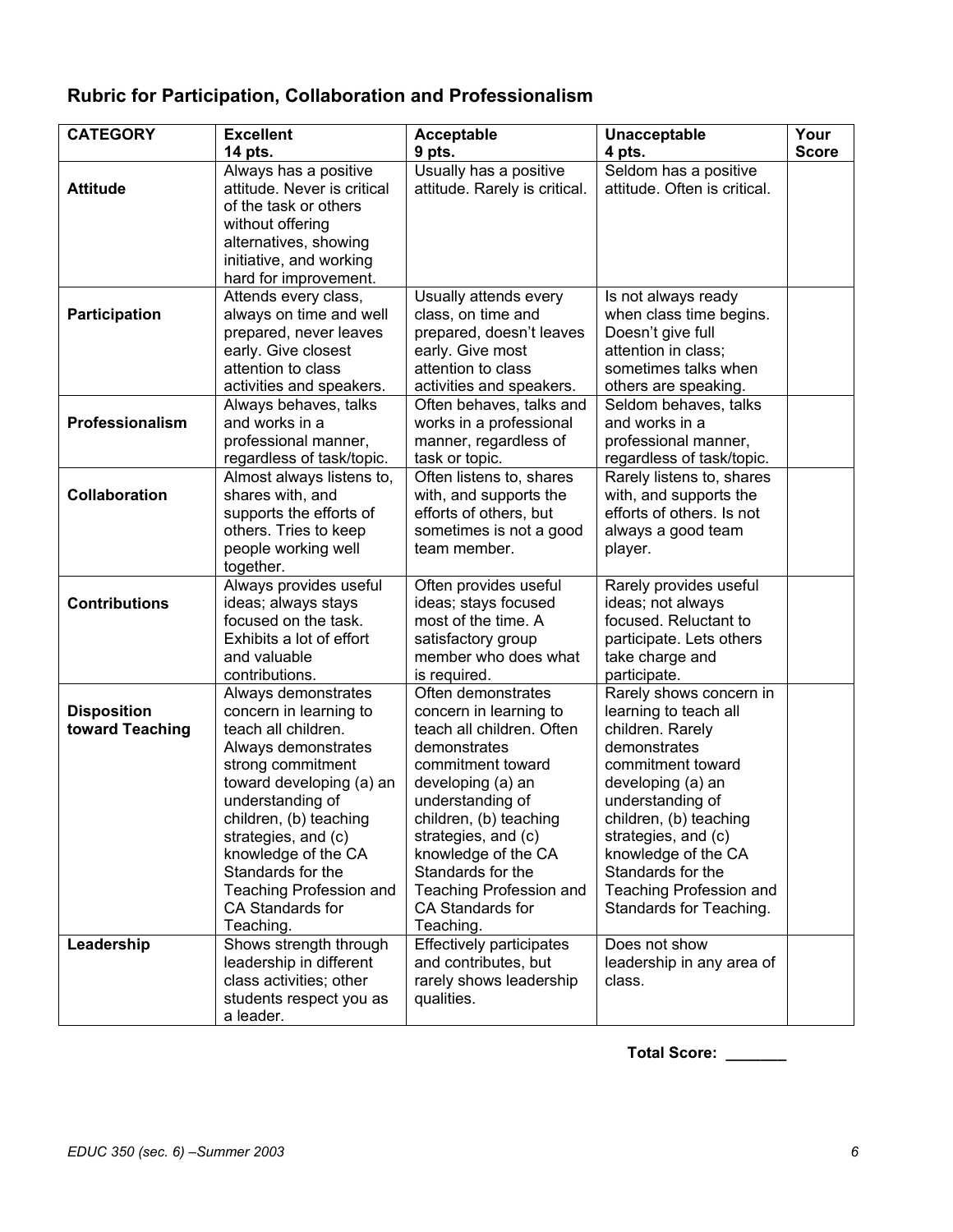# **Rubric for Participation, Collaboration and Professionalism**

| <b>CATEGORY</b>                       | <b>Excellent</b>                                                                                                                                                                                                                                                                                                          | Acceptable                                                                                                                                                                                                                                                                                                       | Unacceptable                                                                                                                                                                                                                                                                                          | Your         |
|---------------------------------------|---------------------------------------------------------------------------------------------------------------------------------------------------------------------------------------------------------------------------------------------------------------------------------------------------------------------------|------------------------------------------------------------------------------------------------------------------------------------------------------------------------------------------------------------------------------------------------------------------------------------------------------------------|-------------------------------------------------------------------------------------------------------------------------------------------------------------------------------------------------------------------------------------------------------------------------------------------------------|--------------|
|                                       | 14 pts.                                                                                                                                                                                                                                                                                                                   | 9 pts.                                                                                                                                                                                                                                                                                                           | 4 pts.                                                                                                                                                                                                                                                                                                | <b>Score</b> |
| <b>Attitude</b>                       | Always has a positive<br>attitude. Never is critical<br>of the task or others<br>without offering                                                                                                                                                                                                                         | Usually has a positive<br>attitude. Rarely is critical.                                                                                                                                                                                                                                                          | Seldom has a positive<br>attitude. Often is critical.                                                                                                                                                                                                                                                 |              |
|                                       | alternatives, showing<br>initiative, and working<br>hard for improvement.                                                                                                                                                                                                                                                 |                                                                                                                                                                                                                                                                                                                  |                                                                                                                                                                                                                                                                                                       |              |
| Participation                         | Attends every class,<br>always on time and well<br>prepared, never leaves<br>early. Give closest<br>attention to class<br>activities and speakers.                                                                                                                                                                        | Usually attends every<br>class, on time and<br>prepared, doesn't leaves<br>early. Give most<br>attention to class<br>activities and speakers.                                                                                                                                                                    | Is not always ready<br>when class time begins.<br>Doesn't give full<br>attention in class;<br>sometimes talks when<br>others are speaking.                                                                                                                                                            |              |
| Professionalism                       | Always behaves, talks<br>and works in a<br>professional manner,<br>regardless of task/topic.                                                                                                                                                                                                                              | Often behaves, talks and<br>works in a professional<br>manner, regardless of<br>task or topic.                                                                                                                                                                                                                   | Seldom behaves, talks<br>and works in a<br>professional manner,<br>regardless of task/topic.                                                                                                                                                                                                          |              |
| Collaboration                         | Almost always listens to,<br>shares with, and<br>supports the efforts of<br>others. Tries to keep<br>people working well<br>together.                                                                                                                                                                                     | Often listens to, shares<br>with, and supports the<br>efforts of others, but<br>sometimes is not a good<br>team member.                                                                                                                                                                                          | Rarely listens to, shares<br>with, and supports the<br>efforts of others. Is not<br>always a good team<br>player.                                                                                                                                                                                     |              |
| <b>Contributions</b>                  | Always provides useful<br>ideas; always stays<br>focused on the task.<br>Exhibits a lot of effort<br>and valuable<br>contributions.                                                                                                                                                                                       | Often provides useful<br>ideas; stays focused<br>most of the time. A<br>satisfactory group<br>member who does what<br>is required.                                                                                                                                                                               | Rarely provides useful<br>ideas; not always<br>focused. Reluctant to<br>participate. Lets others<br>take charge and<br>participate.                                                                                                                                                                   |              |
| <b>Disposition</b><br>toward Teaching | Always demonstrates<br>concern in learning to<br>teach all children.<br>Always demonstrates<br>strong commitment<br>toward developing (a) an<br>understanding of<br>children, (b) teaching<br>strategies, and (c)<br>knowledge of the CA<br>Standards for the<br>Teaching Profession and<br>CA Standards for<br>Teaching. | Often demonstrates<br>concern in learning to<br>teach all children. Often<br>demonstrates<br>commitment toward<br>developing (a) an<br>understanding of<br>children, (b) teaching<br>strategies, and (c)<br>knowledge of the CA<br>Standards for the<br>Teaching Profession and<br>CA Standards for<br>Teaching. | Rarely shows concern in<br>learning to teach all<br>children. Rarely<br>demonstrates<br>commitment toward<br>developing (a) an<br>understanding of<br>children, (b) teaching<br>strategies, and (c)<br>knowledge of the CA<br>Standards for the<br>Teaching Profession and<br>Standards for Teaching. |              |
| Leadership                            | Shows strength through<br>leadership in different<br>class activities; other<br>students respect you as<br>a leader.                                                                                                                                                                                                      | <b>Effectively participates</b><br>and contributes, but<br>rarely shows leadership<br>qualities.                                                                                                                                                                                                                 | Does not show<br>leadership in any area of<br>class.                                                                                                                                                                                                                                                  |              |

 **Total Score: \_\_\_\_\_\_\_**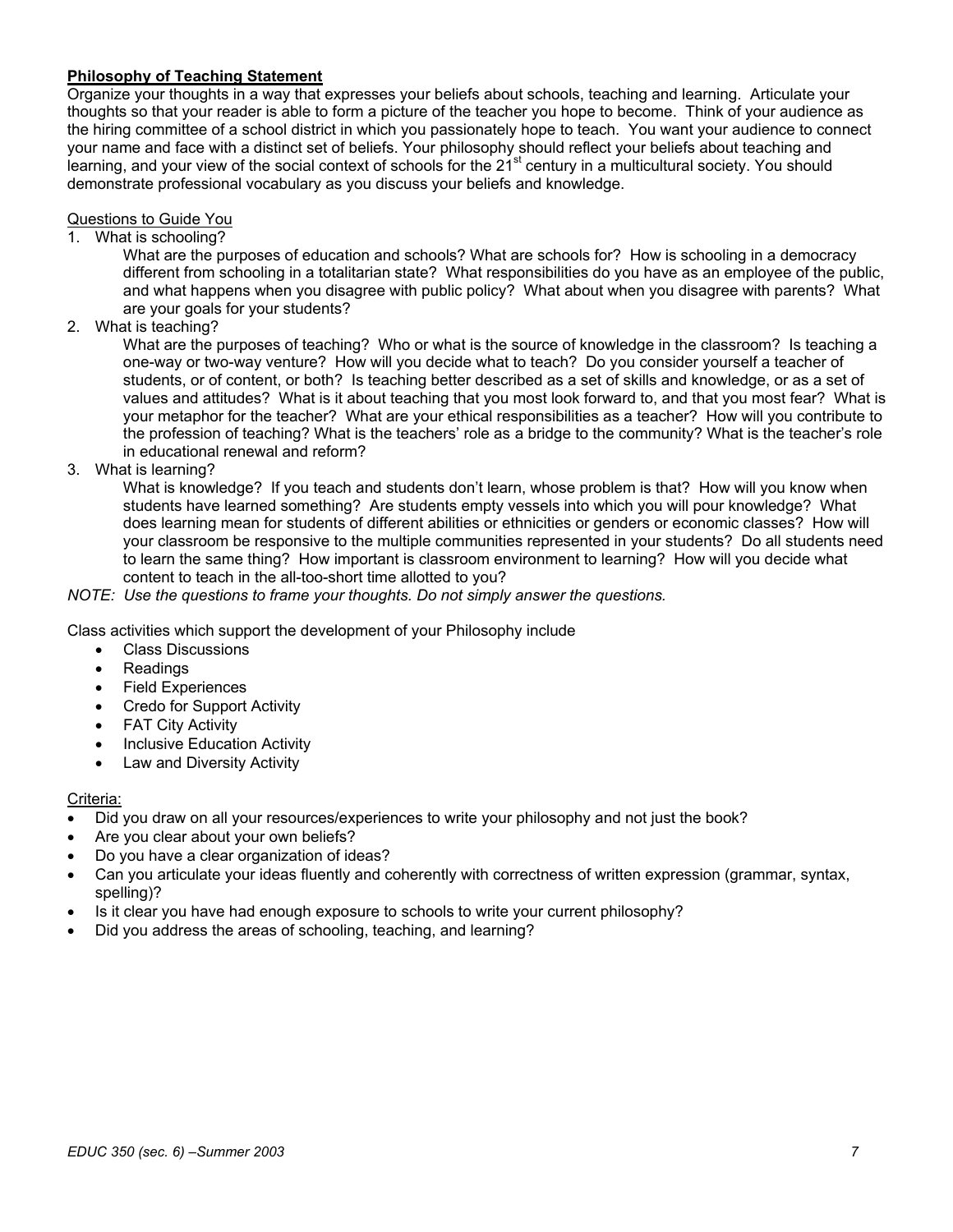#### **Philosophy of Teaching Statement**

Organize your thoughts in a way that expresses your beliefs about schools, teaching and learning. Articulate your thoughts so that your reader is able to form a picture of the teacher you hope to become. Think of your audience as the hiring committee of a school district in which you passionately hope to teach. You want your audience to connect your name and face with a distinct set of beliefs. Your philosophy should reflect your beliefs about teaching and learning, and your view of the social context of schools for the  $21<sup>st</sup>$  century in a multicultural society. You should demonstrate professional vocabulary as you discuss your beliefs and knowledge.

#### Questions to Guide You

1. What is schooling?

What are the purposes of education and schools? What are schools for? How is schooling in a democracy different from schooling in a totalitarian state? What responsibilities do you have as an employee of the public, and what happens when you disagree with public policy? What about when you disagree with parents? What are your goals for your students?

2. What is teaching?

What are the purposes of teaching? Who or what is the source of knowledge in the classroom? Is teaching a one-way or two-way venture? How will you decide what to teach? Do you consider yourself a teacher of students, or of content, or both? Is teaching better described as a set of skills and knowledge, or as a set of values and attitudes? What is it about teaching that you most look forward to, and that you most fear? What is your metaphor for the teacher? What are your ethical responsibilities as a teacher? How will you contribute to the profession of teaching? What is the teachers' role as a bridge to the community? What is the teacher's role in educational renewal and reform?

3. What is learning?

What is knowledge? If you teach and students don't learn, whose problem is that? How will you know when students have learned something? Are students empty vessels into which you will pour knowledge? What does learning mean for students of different abilities or ethnicities or genders or economic classes? How will your classroom be responsive to the multiple communities represented in your students? Do all students need to learn the same thing? How important is classroom environment to learning? How will you decide what content to teach in the all-too-short time allotted to you?

*NOTE: Use the questions to frame your thoughts. Do not simply answer the questions.* 

Class activities which support the development of your Philosophy include

- Class Discussions
- **Readings**
- Field Experiences
- Credo for Support Activity
- FAT City Activity
- Inclusive Education Activity
- Law and Diversity Activity

#### Criteria:

- Did you draw on all your resources/experiences to write your philosophy and not just the book?
- Are you clear about your own beliefs?
- Do you have a clear organization of ideas?
- Can you articulate your ideas fluently and coherently with correctness of written expression (grammar, syntax, spelling)?
- Is it clear you have had enough exposure to schools to write your current philosophy?
- Did you address the areas of schooling, teaching, and learning?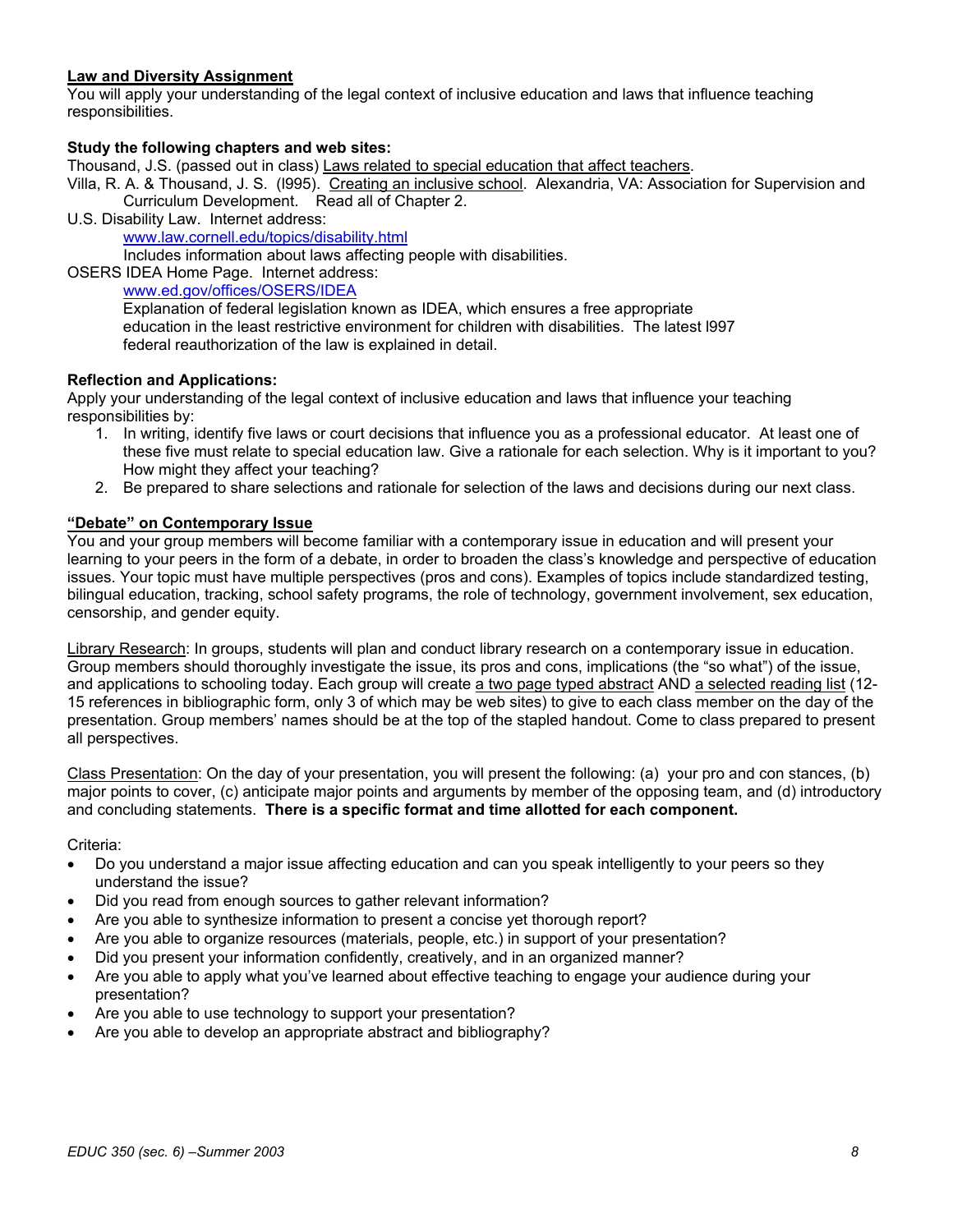#### **Law and Diversity Assignment**

You will apply your understanding of the legal context of inclusive education and laws that influence teaching responsibilities.

#### **Study the following chapters and web sites:**

Thousand, J.S. (passed out in class) Laws related to special education that affect teachers.

Villa, R. A. & Thousand, J. S. (l995). Creating an inclusive school. Alexandria, VA: Association for Supervision and Curriculum Development. Read all of Chapter 2.

U.S. Disability Law. Internet address: www.law.cornell.edu/topics/disability.html

Includes information about laws affecting people with disabilities.

OSERS IDEA Home Page. Internet address: www.ed.gov/offices/OSERS/IDEA

Explanation of federal legislation known as IDEA, which ensures a free appropriate education in the least restrictive environment for children with disabilities. The latest l997 federal reauthorization of the law is explained in detail.

#### **Reflection and Applications:**

Apply your understanding of the legal context of inclusive education and laws that influence your teaching responsibilities by:

- 1. In writing, identify five laws or court decisions that influence you as a professional educator. At least one of these five must relate to special education law. Give a rationale for each selection. Why is it important to you? How might they affect your teaching?
- 2. Be prepared to share selections and rationale for selection of the laws and decisions during our next class.

#### **"Debate" on Contemporary Issue**

You and your group members will become familiar with a contemporary issue in education and will present your learning to your peers in the form of a debate, in order to broaden the class's knowledge and perspective of education issues. Your topic must have multiple perspectives (pros and cons). Examples of topics include standardized testing, bilingual education, tracking, school safety programs, the role of technology, government involvement, sex education, censorship, and gender equity.

Library Research: In groups, students will plan and conduct library research on a contemporary issue in education. Group members should thoroughly investigate the issue, its pros and cons, implications (the "so what") of the issue, and applications to schooling today. Each group will create a two page typed abstract AND a selected reading list (12-15 references in bibliographic form, only 3 of which may be web sites) to give to each class member on the day of the presentation. Group members' names should be at the top of the stapled handout. Come to class prepared to present all perspectives.

Class Presentation: On the day of your presentation, you will present the following: (a) your pro and con stances, (b) major points to cover, (c) anticipate major points and arguments by member of the opposing team, and (d) introductory and concluding statements. **There is a specific format and time allotted for each component.** 

Criteria:

- Do you understand a major issue affecting education and can you speak intelligently to your peers so they understand the issue?
- Did you read from enough sources to gather relevant information?
- Are you able to synthesize information to present a concise yet thorough report?
- Are you able to organize resources (materials, people, etc.) in support of your presentation?
- Did you present your information confidently, creatively, and in an organized manner?
- Are you able to apply what you've learned about effective teaching to engage your audience during your presentation?
- Are you able to use technology to support your presentation?
- Are you able to develop an appropriate abstract and bibliography?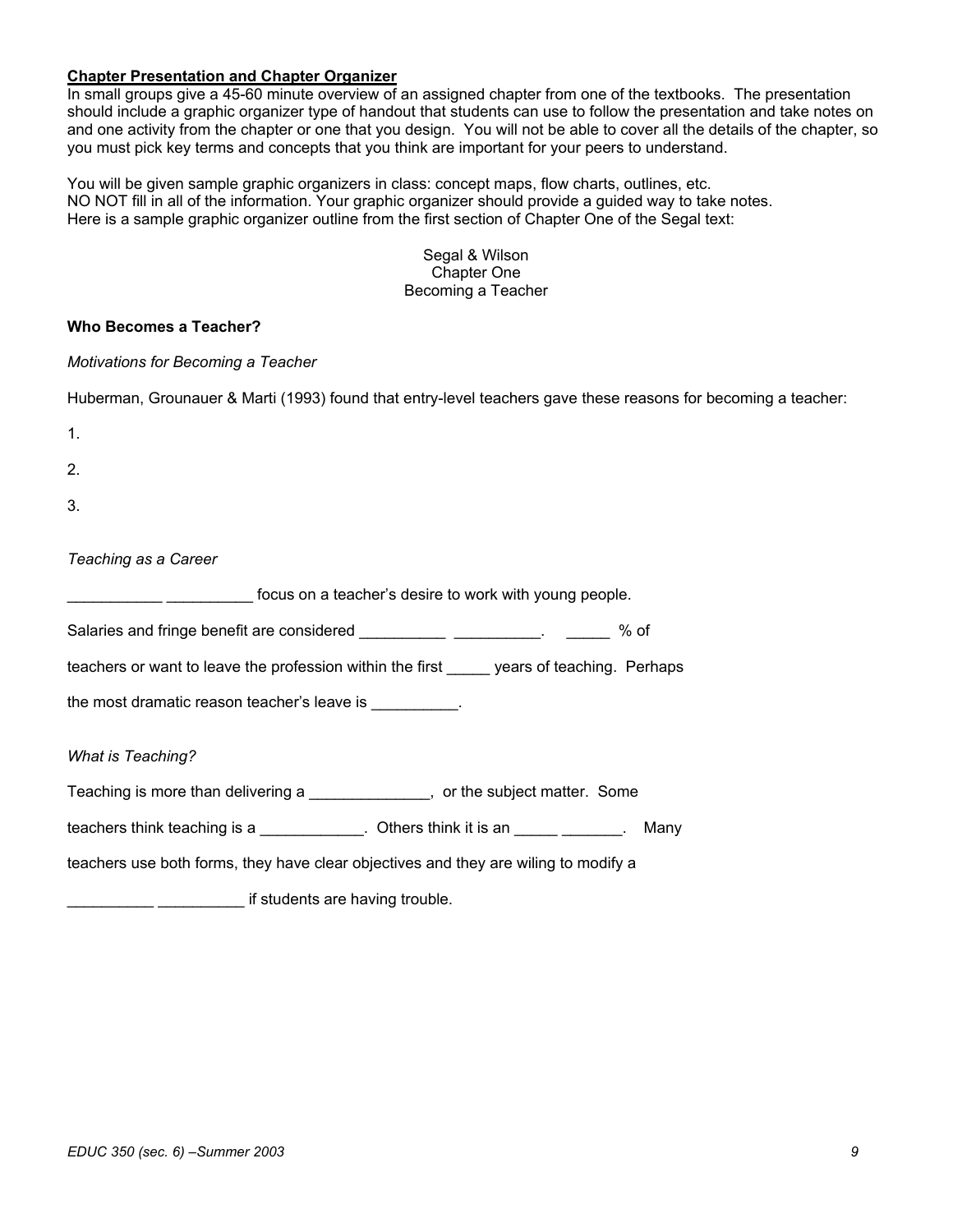#### **Chapter Presentation and Chapter Organizer**

In small groups give a 45-60 minute overview of an assigned chapter from one of the textbooks. The presentation should include a graphic organizer type of handout that students can use to follow the presentation and take notes on and one activity from the chapter or one that you design. You will not be able to cover all the details of the chapter, so you must pick key terms and concepts that you think are important for your peers to understand.

You will be given sample graphic organizers in class: concept maps, flow charts, outlines, etc. NO NOT fill in all of the information. Your graphic organizer should provide a guided way to take notes. Here is a sample graphic organizer outline from the first section of Chapter One of the Segal text:

> Segal & Wilson Chapter One Becoming a Teacher

#### **Who Becomes a Teacher?**

*Motivations for Becoming a Teacher* 

| Huberman, Grounauer & Marti (1993) found that entry-level teachers gave these reasons for becoming a teacher: |
|---------------------------------------------------------------------------------------------------------------|
|---------------------------------------------------------------------------------------------------------------|

- 1.
- 
- 2.
- 3.

#### *Teaching as a Career*

**EXECUTE:** The same of the constant of the constant of the constant of the constant of the constant of the constant of the constant of the constant of the constant of the constant of the constant of the constant of the con

Salaries and fringe benefit are considered \_\_\_\_\_\_\_\_\_\_\_\_\_\_\_\_\_\_\_\_\_\_. \_\_\_\_\_\_\_. % of

teachers or want to leave the profession within the first \_\_\_\_\_ years of teaching. Perhaps

the most dramatic reason teacher's leave is  $\qquad \qquad$ .

#### *What is Teaching?*

Teaching is more than delivering a \_\_\_\_\_\_\_\_\_\_\_\_\_, or the subject matter. Some

teachers think teaching is a \_\_\_\_\_\_\_\_\_\_\_. Others think it is an \_\_\_\_\_\_\_\_\_\_\_. Many

teachers use both forms, they have clear objectives and they are wiling to modify a

**EXECUTE:** if students are having trouble.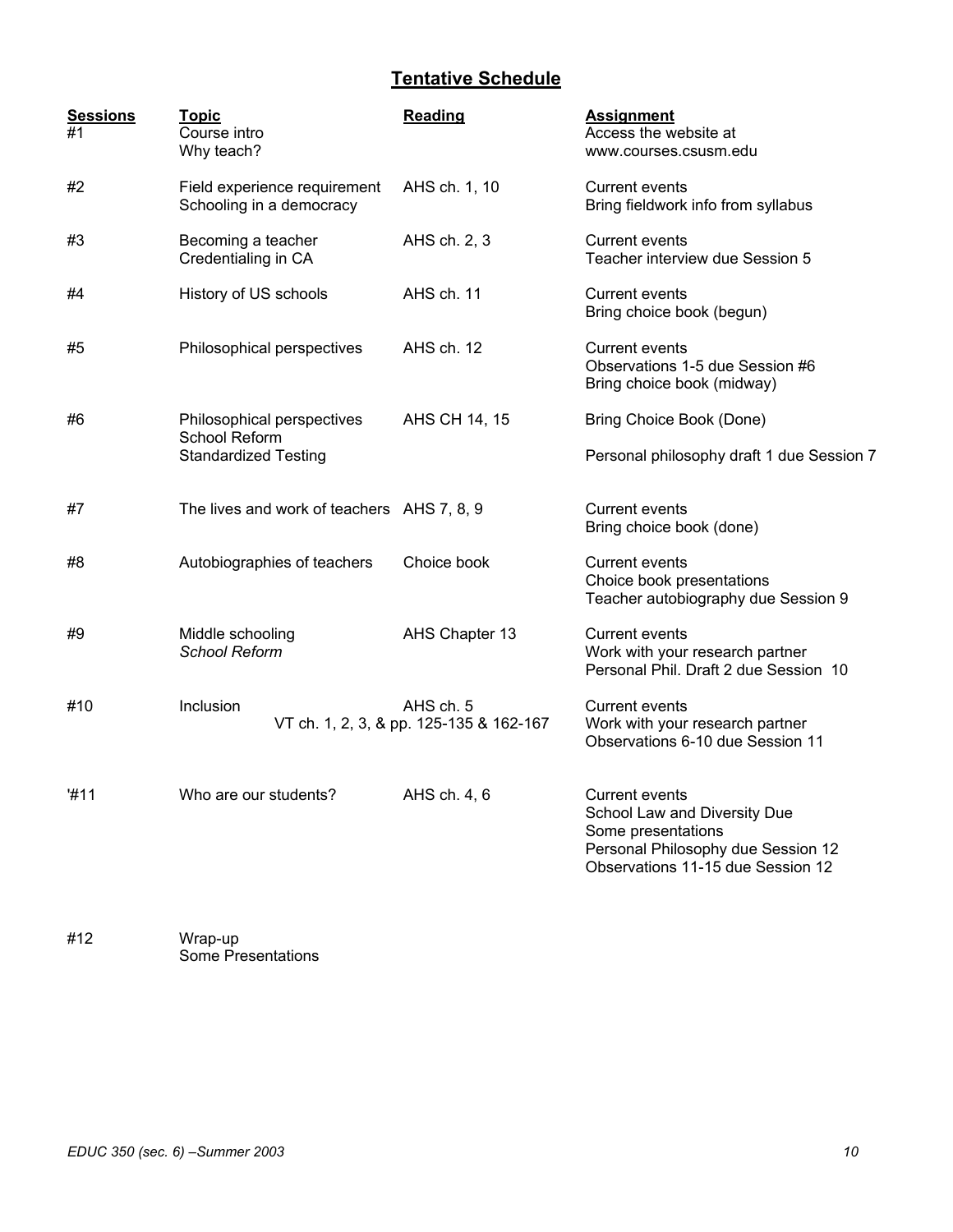# **Tentative Schedule**

| <b>Sessions</b><br>#1 | <u>Topic</u><br>Course intro<br>Why teach?               | Reading                                              | <b>Assignment</b><br>Access the website at<br>www.courses.csusm.edu                                                                                    |
|-----------------------|----------------------------------------------------------|------------------------------------------------------|--------------------------------------------------------------------------------------------------------------------------------------------------------|
| #2                    | Field experience requirement<br>Schooling in a democracy | AHS ch. 1, 10                                        | Current events<br>Bring fieldwork info from syllabus                                                                                                   |
| #3                    | Becoming a teacher<br>Credentialing in CA                | AHS ch. 2, 3                                         | <b>Current events</b><br>Teacher interview due Session 5                                                                                               |
| #4                    | History of US schools                                    | AHS ch. 11                                           | Current events<br>Bring choice book (begun)                                                                                                            |
| #5                    | Philosophical perspectives                               | AHS ch. 12                                           | <b>Current events</b><br>Observations 1-5 due Session #6<br>Bring choice book (midway)                                                                 |
| #6                    | Philosophical perspectives                               | AHS CH 14, 15                                        | Bring Choice Book (Done)                                                                                                                               |
|                       | School Reform<br><b>Standardized Testing</b>             |                                                      | Personal philosophy draft 1 due Session 7                                                                                                              |
| #7                    | The lives and work of teachers AHS 7, 8, 9               |                                                      | <b>Current events</b><br>Bring choice book (done)                                                                                                      |
| #8                    | Autobiographies of teachers                              | Choice book                                          | Current events<br>Choice book presentations<br>Teacher autobiography due Session 9                                                                     |
| #9                    | Middle schooling<br><b>School Reform</b>                 | AHS Chapter 13                                       | <b>Current events</b><br>Work with your research partner<br>Personal Phil. Draft 2 due Session 10                                                      |
| #10                   | Inclusion                                                | AHS ch. 5<br>VT ch. 1, 2, 3, & pp. 125-135 & 162-167 | <b>Current events</b><br>Work with your research partner<br>Observations 6-10 due Session 11                                                           |
| '#11                  | Who are our students?                                    | AHS ch. 4, 6                                         | <b>Current events</b><br>School Law and Diversity Due<br>Some presentations<br>Personal Philosophy due Session 12<br>Observations 11-15 due Session 12 |

#12 Wrap-up **Some Presentations**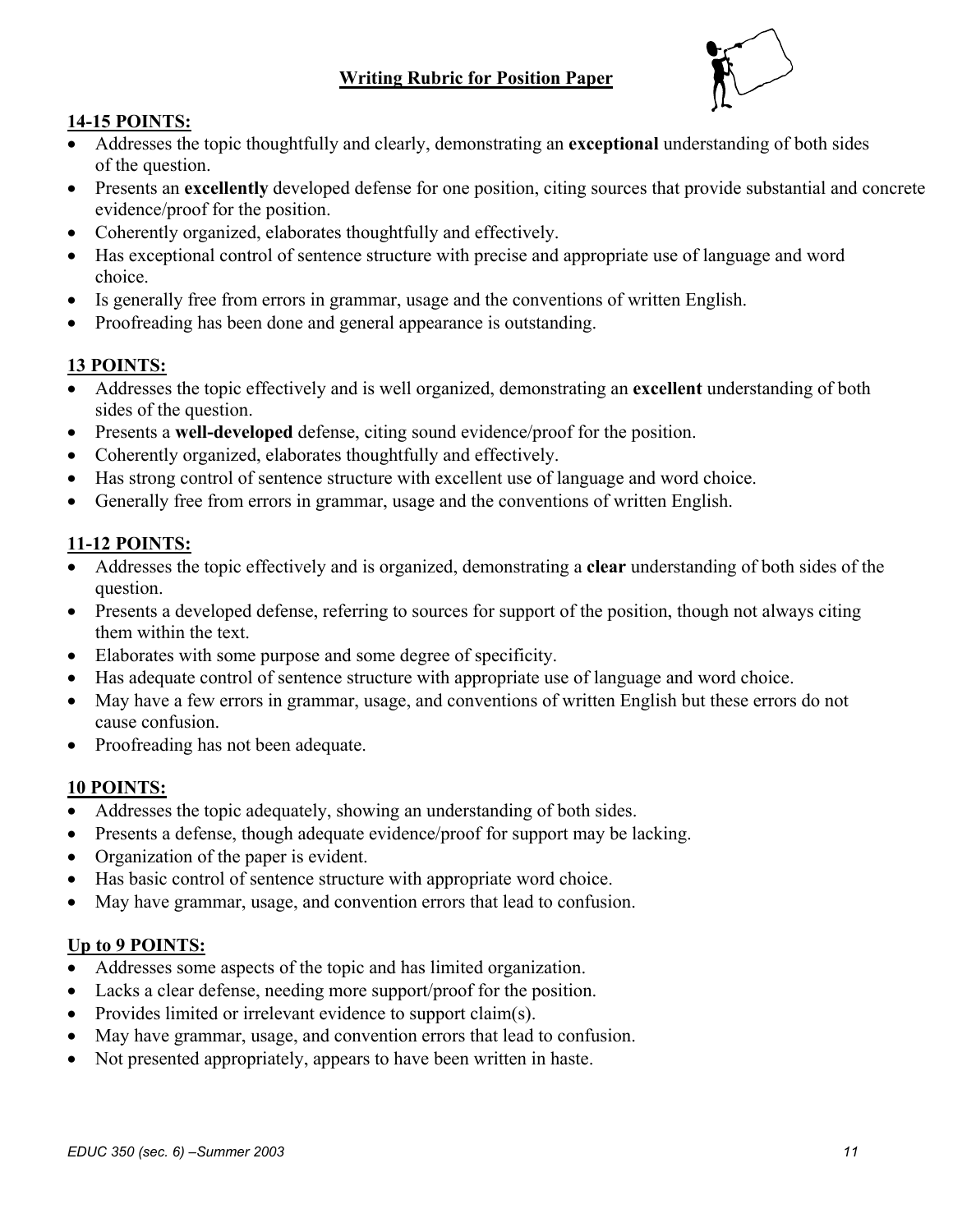# **Writing Rubric for Position Paper**



# **14-15 POINTS:**

- Addresses the topic thoughtfully and clearly, demonstrating an **exceptional** understanding of both sides of the question.
- Presents an **excellently** developed defense for one position, citing sources that provide substantial and concrete evidence/proof for the position.
- Coherently organized, elaborates thoughtfully and effectively.
- Has exceptional control of sentence structure with precise and appropriate use of language and word choice.
- Is generally free from errors in grammar, usage and the conventions of written English.
- Proofreading has been done and general appearance is outstanding.

# **13 POINTS:**

- Addresses the topic effectively and is well organized, demonstrating an **excellent** understanding of both sides of the question.
- Presents a **well-developed** defense, citing sound evidence/proof for the position.
- Coherently organized, elaborates thoughtfully and effectively.
- Has strong control of sentence structure with excellent use of language and word choice.
- Generally free from errors in grammar, usage and the conventions of written English.

# **11-12 POINTS:**

- Addresses the topic effectively and is organized, demonstrating a **clear** understanding of both sides of the question.
- Presents a developed defense, referring to sources for support of the position, though not always citing them within the text.
- Elaborates with some purpose and some degree of specificity.
- Has adequate control of sentence structure with appropriate use of language and word choice.
- May have a few errors in grammar, usage, and conventions of written English but these errors do not cause confusion.
- Proofreading has not been adequate.

# **10 POINTS:**

- Addresses the topic adequately, showing an understanding of both sides.
- Presents a defense, though adequate evidence/proof for support may be lacking.
- Organization of the paper is evident.
- Has basic control of sentence structure with appropriate word choice.
- May have grammar, usage, and convention errors that lead to confusion.

# **Up to 9 POINTS:**

- Addresses some aspects of the topic and has limited organization.
- Lacks a clear defense, needing more support/proof for the position.
- Provides limited or irrelevant evidence to support claim(s).
- May have grammar, usage, and convention errors that lead to confusion.
- Not presented appropriately, appears to have been written in haste.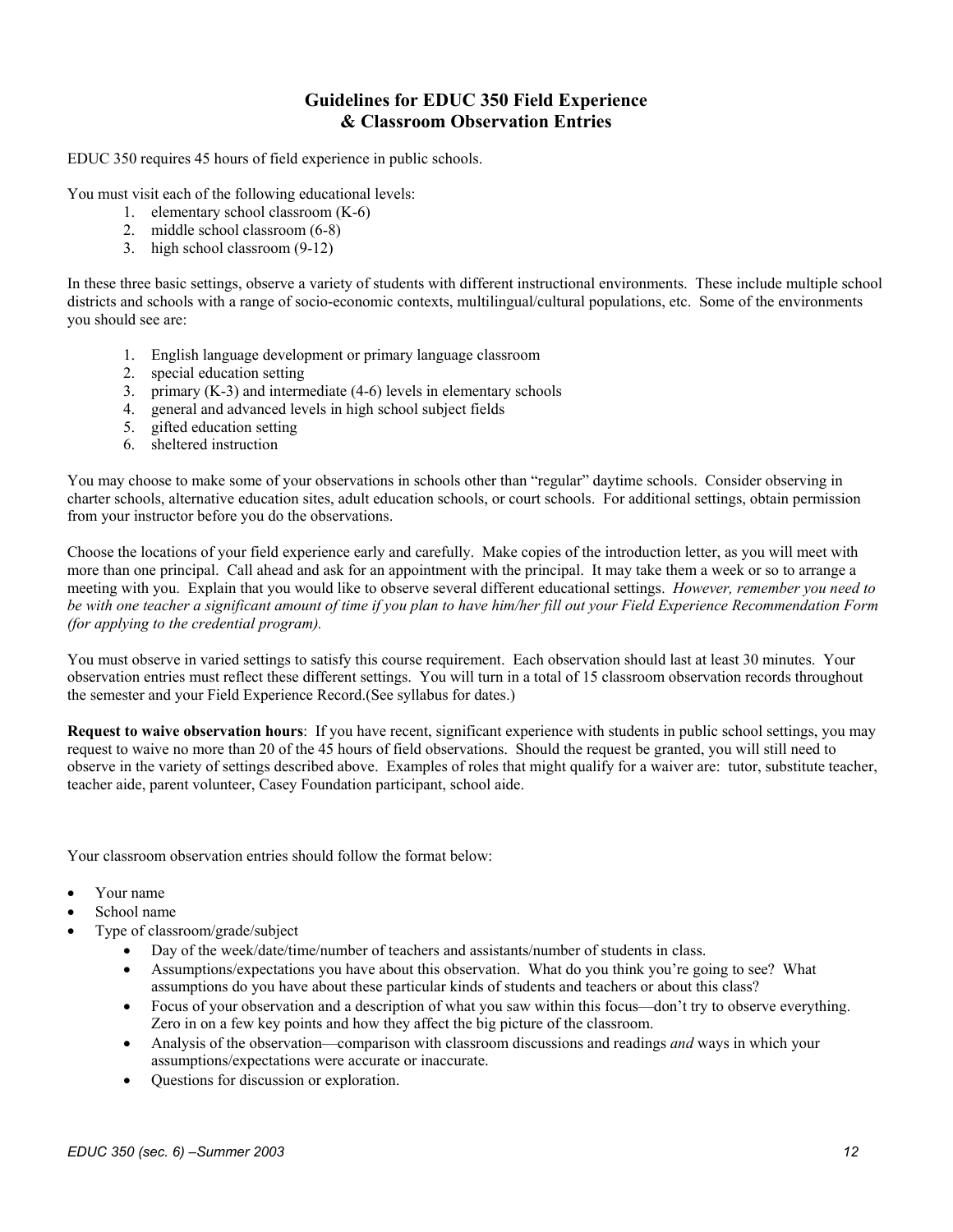### **Guidelines for EDUC 350 Field Experience & Classroom Observation Entries**

EDUC 350 requires 45 hours of field experience in public schools.

You must visit each of the following educational levels:

- 1. elementary school classroom (K-6)
- 2. middle school classroom (6-8)
- 3. high school classroom (9-12)

In these three basic settings, observe a variety of students with different instructional environments. These include multiple school districts and schools with a range of socio-economic contexts, multilingual/cultural populations, etc. Some of the environments you should see are:

- 1. English language development or primary language classroom
- 2. special education setting
- 3. primary (K-3) and intermediate (4-6) levels in elementary schools
- 4. general and advanced levels in high school subject fields
- 5. gifted education setting
- 6. sheltered instruction

You may choose to make some of your observations in schools other than "regular" daytime schools. Consider observing in charter schools, alternative education sites, adult education schools, or court schools. For additional settings, obtain permission from your instructor before you do the observations.

Choose the locations of your field experience early and carefully. Make copies of the introduction letter, as you will meet with more than one principal. Call ahead and ask for an appointment with the principal. It may take them a week or so to arrange a meeting with you. Explain that you would like to observe several different educational settings. *However, remember you need to be with one teacher a significant amount of time if you plan to have him/her fill out your Field Experience Recommendation Form (for applying to the credential program).* 

You must observe in varied settings to satisfy this course requirement. Each observation should last at least 30 minutes. Your observation entries must reflect these different settings. You will turn in a total of 15 classroom observation records throughout the semester and your Field Experience Record.(See syllabus for dates.)

**Request to waive observation hours**: If you have recent, significant experience with students in public school settings, you may request to waive no more than 20 of the 45 hours of field observations. Should the request be granted, you will still need to observe in the variety of settings described above. Examples of roles that might qualify for a waiver are: tutor, substitute teacher, teacher aide, parent volunteer, Casey Foundation participant, school aide.

Your classroom observation entries should follow the format below:

- Your name
- School name
- Type of classroom/grade/subject
	- Day of the week/date/time/number of teachers and assistants/number of students in class.
	- Assumptions/expectations you have about this observation. What do you think you're going to see? What assumptions do you have about these particular kinds of students and teachers or about this class?
	- Focus of your observation and a description of what you saw within this focus—don't try to observe everything. Zero in on a few key points and how they affect the big picture of the classroom.
	- Analysis of the observation—comparison with classroom discussions and readings *and* ways in which your assumptions/expectations were accurate or inaccurate.
	- Questions for discussion or exploration.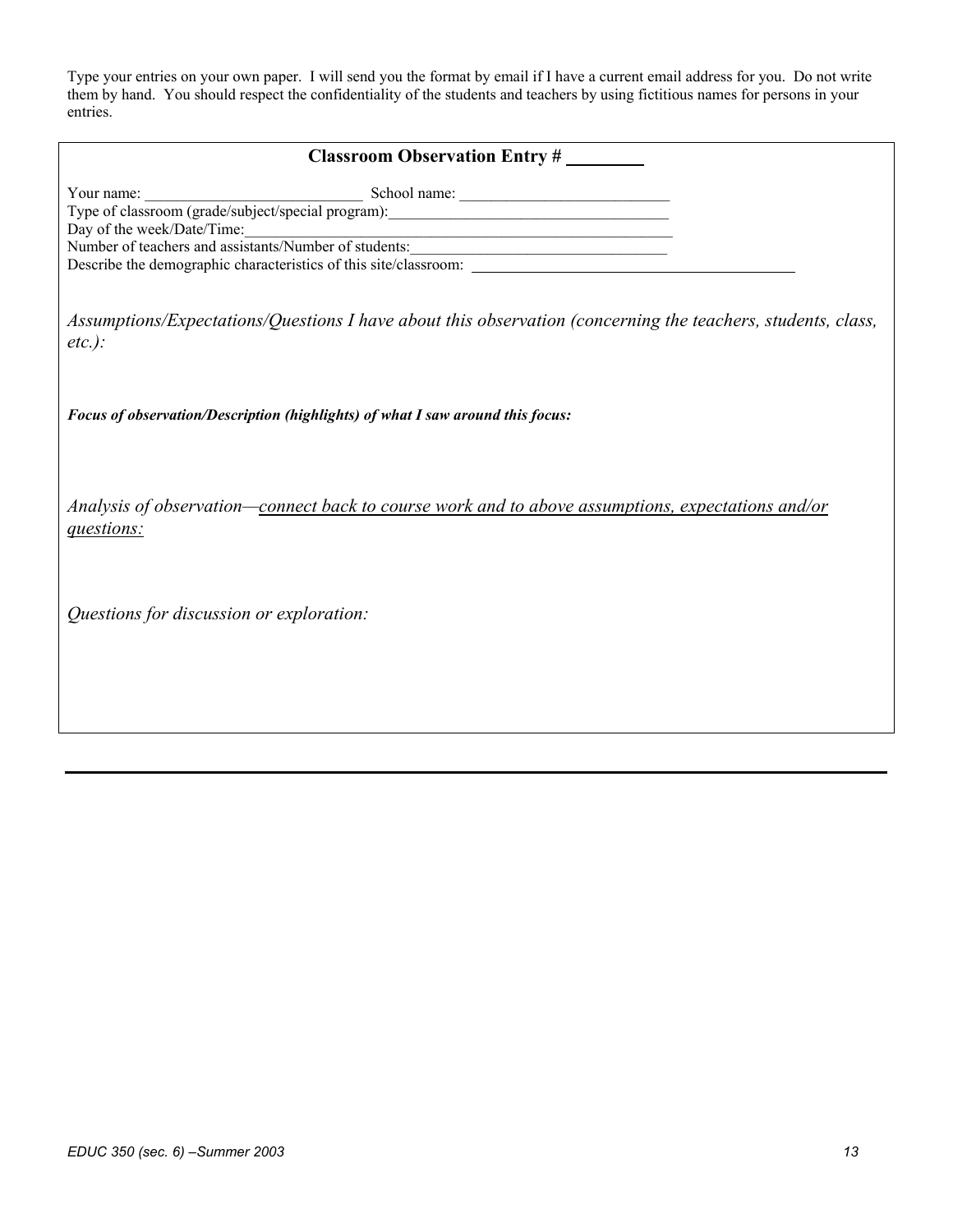Type your entries on your own paper. I will send you the format by email if I have a current email address for you. Do not write them by hand. You should respect the confidentiality of the students and teachers by using fictitious names for persons in your entries.

| <b>Classroom Observation Entry #</b>                                                                                                                    |
|---------------------------------------------------------------------------------------------------------------------------------------------------------|
|                                                                                                                                                         |
| Your name: School name: School name: School name: Type of classroom (grade/subject/special program):                                                    |
| Day of the week/Date/Time:                                                                                                                              |
| Day of the week/Date/Time:<br>Number of teachers and assistants/Number of students:<br>Describe the demographic characteristics of this site/classroom: |
| Assumptions/Expectations/Questions I have about this observation (concerning the teachers, students, class,<br>$etc.$ ):                                |
| Focus of observation/Description (highlights) of what I saw around this focus:                                                                          |
| Analysis of observation—connect back to course work and to above assumptions, expectations and/or<br>questions:                                         |
| Questions for discussion or exploration:                                                                                                                |
|                                                                                                                                                         |
|                                                                                                                                                         |
|                                                                                                                                                         |
|                                                                                                                                                         |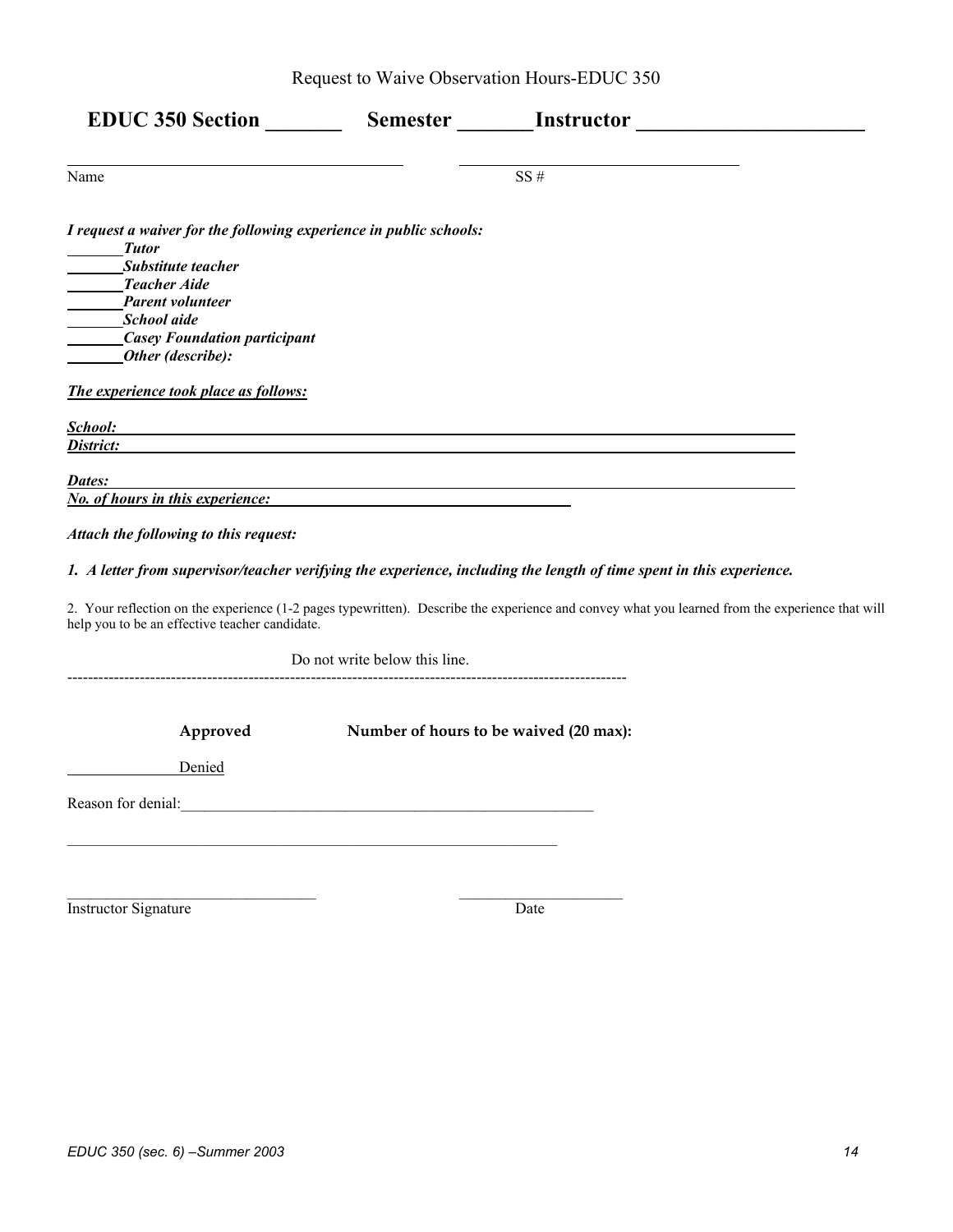| <b>EDUC 350 Section</b>                                                                                                                                                                                                 |                               | Semester Instructor                                                                                                                             |
|-------------------------------------------------------------------------------------------------------------------------------------------------------------------------------------------------------------------------|-------------------------------|-------------------------------------------------------------------------------------------------------------------------------------------------|
| Name                                                                                                                                                                                                                    |                               | SS#                                                                                                                                             |
| I request a waiver for the following experience in public schools:<br>Iutor<br><b>Substitute teacher</b><br>Teacher Aide<br>Parent volunteer<br>School aide<br><b>Casey Foundation participant</b><br>Other (describe): |                               |                                                                                                                                                 |
| <b>The experience took place as follows:</b>                                                                                                                                                                            |                               |                                                                                                                                                 |
| School:<br>District:                                                                                                                                                                                                    |                               | and the control of the control of the control of the control of the control of the control of the control of the                                |
| Dates:<br>No. of hours in this experience:<br>Attach the following to this request:                                                                                                                                     |                               |                                                                                                                                                 |
|                                                                                                                                                                                                                         |                               | 1. A letter from supervisor/teacher verifying the experience, including the length of time spent in this experience.                            |
| help you to be an effective teacher candidate.                                                                                                                                                                          |                               | 2. Your reflection on the experience (1-2 pages typewritten). Describe the experience and convey what you learned from the experience that will |
|                                                                                                                                                                                                                         | Do not write below this line. |                                                                                                                                                 |
| Approved<br>Denied                                                                                                                                                                                                      |                               | Number of hours to be waived (20 max):                                                                                                          |
| Reason for denial:                                                                                                                                                                                                      |                               |                                                                                                                                                 |
|                                                                                                                                                                                                                         |                               |                                                                                                                                                 |
| Instructor Signature                                                                                                                                                                                                    |                               | Date                                                                                                                                            |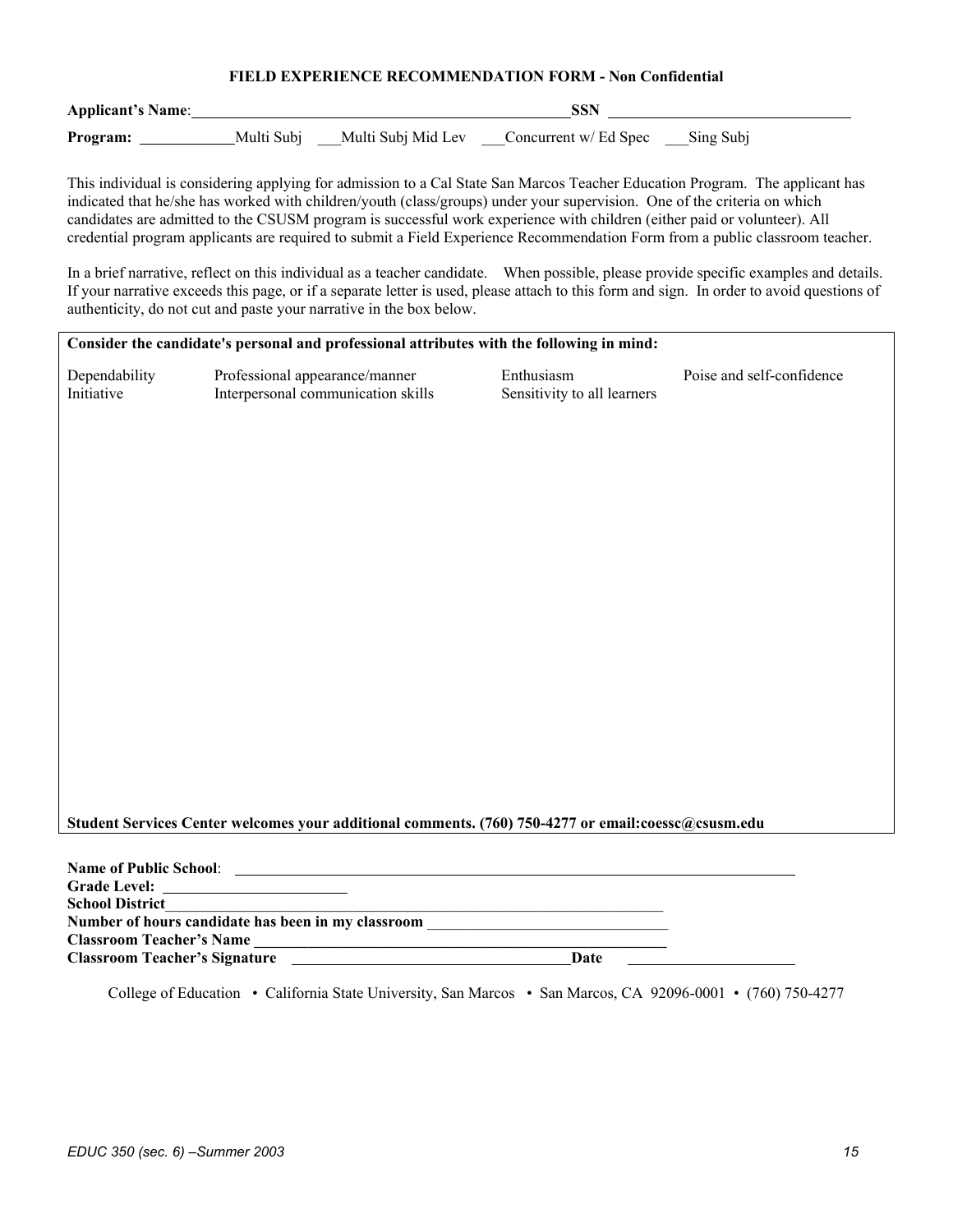#### **FIELD EXPERIENCE RECOMMENDATION FORM - Non Confidential**

| <b>Applicant's Name:</b> |            | SSN                |                       |           |  |
|--------------------------|------------|--------------------|-----------------------|-----------|--|
| Program:                 | Multi Subj | Multi Subj Mid Lev | Concurrent w/ Ed Spec | Sing Subj |  |

This individual is considering applying for admission to a Cal State San Marcos Teacher Education Program. The applicant has indicated that he/she has worked with children/youth (class/groups) under your supervision. One of the criteria on which candidates are admitted to the CSUSM program is successful work experience with children (either paid or volunteer). All credential program applicants are required to submit a Field Experience Recommendation Form from a public classroom teacher.

In a brief narrative, reflect on this individual as a teacher candidate. When possible, please provide specific examples and details. If your narrative exceeds this page, or if a separate letter is used, please attach to this form and sign. In order to avoid questions of authenticity, do not cut and paste your narrative in the box below.

| Consider the candidate's personal and professional attributes with the following in mind:           |                                                                                                                        |                                                                          |                           |  |  |
|-----------------------------------------------------------------------------------------------------|------------------------------------------------------------------------------------------------------------------------|--------------------------------------------------------------------------|---------------------------|--|--|
| Dependability<br>Initiative                                                                         | Professional appearance/manner<br>Interpersonal communication skills                                                   | Enthusiasm<br>Sensitivity to all learners                                | Poise and self-confidence |  |  |
|                                                                                                     |                                                                                                                        |                                                                          |                           |  |  |
|                                                                                                     |                                                                                                                        |                                                                          |                           |  |  |
|                                                                                                     |                                                                                                                        |                                                                          |                           |  |  |
|                                                                                                     |                                                                                                                        |                                                                          |                           |  |  |
|                                                                                                     |                                                                                                                        |                                                                          |                           |  |  |
|                                                                                                     |                                                                                                                        |                                                                          |                           |  |  |
|                                                                                                     |                                                                                                                        |                                                                          |                           |  |  |
|                                                                                                     |                                                                                                                        |                                                                          |                           |  |  |
|                                                                                                     |                                                                                                                        |                                                                          |                           |  |  |
|                                                                                                     |                                                                                                                        |                                                                          |                           |  |  |
|                                                                                                     |                                                                                                                        |                                                                          |                           |  |  |
|                                                                                                     |                                                                                                                        |                                                                          |                           |  |  |
|                                                                                                     |                                                                                                                        |                                                                          |                           |  |  |
|                                                                                                     |                                                                                                                        |                                                                          |                           |  |  |
|                                                                                                     |                                                                                                                        |                                                                          |                           |  |  |
|                                                                                                     |                                                                                                                        |                                                                          |                           |  |  |
|                                                                                                     |                                                                                                                        |                                                                          |                           |  |  |
|                                                                                                     |                                                                                                                        |                                                                          |                           |  |  |
|                                                                                                     |                                                                                                                        |                                                                          |                           |  |  |
| Student Services Center welcomes your additional comments. (760) 750-4277 or email:coessc@csusm.edu |                                                                                                                        |                                                                          |                           |  |  |
|                                                                                                     |                                                                                                                        |                                                                          |                           |  |  |
|                                                                                                     |                                                                                                                        |                                                                          |                           |  |  |
|                                                                                                     |                                                                                                                        |                                                                          |                           |  |  |
| <b>School District</b>                                                                              | Number of hours candidate has been in my classroom _____________________________                                       | <u> 1989 - Johann John Stein, mars an deus Amerikaansk kommunister (</u> |                           |  |  |
| <b>Classroom Teacher's Name</b>                                                                     | <u> 1989 - Johann Stoff, deutscher Stoffen und der Stoffen und der Stoffen und der Stoffen und der Stoffen und der</u> |                                                                          |                           |  |  |
| <b>Classroom Teacher's Signature</b>                                                                |                                                                                                                        | Date                                                                     |                           |  |  |

College of Education • California State University, San Marcos • San Marcos, CA 92096-0001 • (760) 750-4277